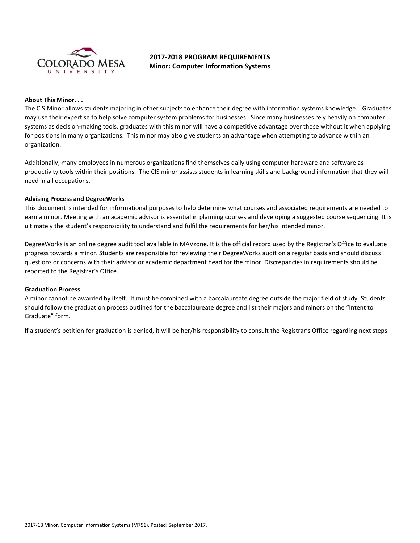

# **2017-2018 PROGRAM REQUIREMENTS Minor: Computer Information Systems**

### **About This Minor. . .**

The CIS Minor allows students majoring in other subjects to enhance their degree with information systems knowledge. Graduates may use their expertise to help solve computer system problems for businesses. Since many businesses rely heavily on computer systems as decision-making tools, graduates with this minor will have a competitive advantage over those without it when applying for positions in many organizations. This minor may also give students an advantage when attempting to advance within an organization.

Additionally, many employees in numerous organizations find themselves daily using computer hardware and software as productivity tools within their positions. The CIS minor assists students in learning skills and background information that they will need in all occupations.

### **Advising Process and DegreeWorks**

This document is intended for informational purposes to help determine what courses and associated requirements are needed to earn a minor. Meeting with an academic advisor is essential in planning courses and developing a suggested course sequencing. It is ultimately the student's responsibility to understand and fulfil the requirements for her/his intended minor.

DegreeWorks is an online degree audit tool available in MAVzone. It is the official record used by the Registrar's Office to evaluate progress towards a minor. Students are responsible for reviewing their DegreeWorks audit on a regular basis and should discuss questions or concerns with their advisor or academic department head for the minor. Discrepancies in requirements should be reported to the Registrar's Office.

#### **Graduation Process**

A minor cannot be awarded by itself. It must be combined with a baccalaureate degree outside the major field of study. Students should follow the graduation process outlined for the baccalaureate degree and list their majors and minors on the "Intent to Graduate" form.

If a student's petition for graduation is denied, it will be her/his responsibility to consult the Registrar's Office regarding next steps.